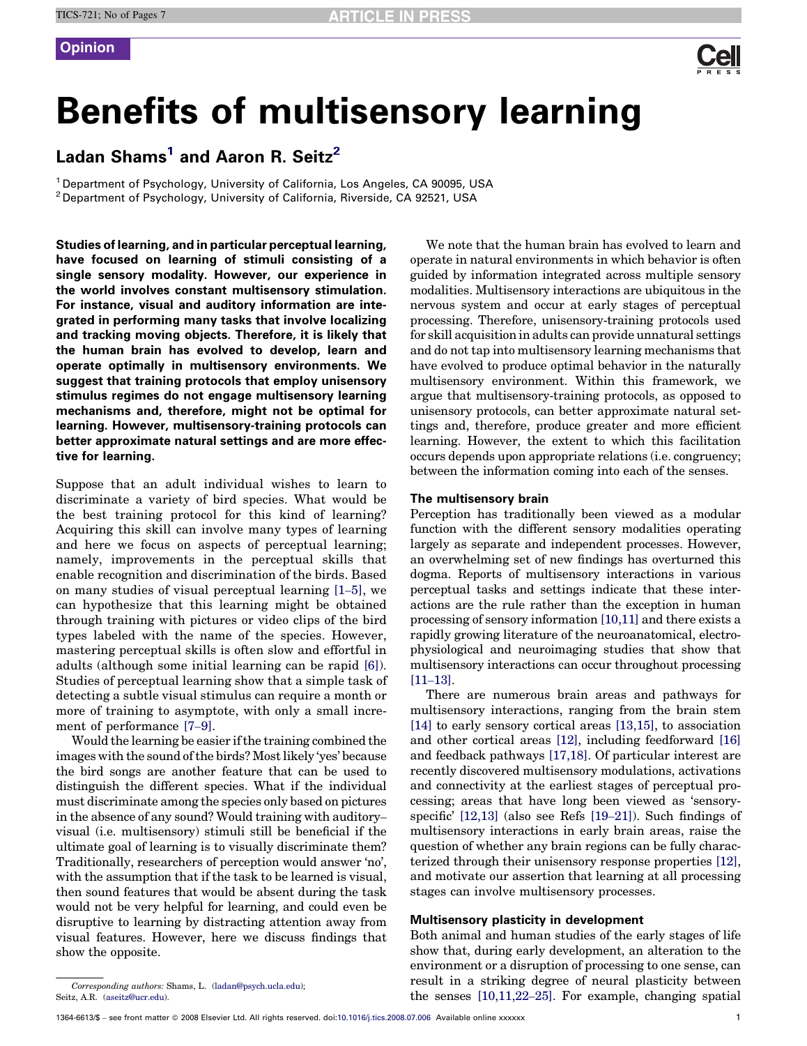

# Benefits of multisensory learning

# Ladan Shams<sup>1</sup> and Aaron R. Seitz<sup>2</sup>

<sup>1</sup> Department of Psychology, University of California, Los Angeles, CA 90095, USA <sup>2</sup> Department of Psychology, University of California, Riverside, CA 92521, USA

Studies of learning, and in particular perceptual learning, have focused on learning of stimuli consisting of a single sensory modality. However, our experience in the world involves constant multisensory stimulation. For instance, visual and auditory information are integrated in performing many tasks that involve localizing and tracking moving objects. Therefore, it is likely that the human brain has evolved to develop, learn and operate optimally in multisensory environments. We suggest that training protocols that employ unisensory stimulus regimes do not engage multisensory learning mechanisms and, therefore, might not be optimal for learning. However, multisensory-training protocols can better approximate natural settings and are more effective for learning.

Suppose that an adult individual wishes to learn to discriminate a variety of bird species. What would be the best training protocol for this kind of learning? Acquiring this skill can involve many types of learning and here we focus on aspects of perceptual learning; namely, improvements in the perceptual skills that enable recognition and discrimination of the birds. Based on many studies of visual perceptual learning [\[1](#page-4-0)–5], we can hypothesize that this learning might be obtained through training with pictures or video clips of the bird types labeled with the name of the species. However, mastering perceptual skills is often slow and effortful in adults (although some initial learning can be rapid [\[6\]\)](#page-5-0). Studies of perceptual learning show that a simple task of detecting a subtle visual stimulus can require a month or more of training to asymptote, with only a small increment of performance [\[7](#page-5-0)–9].

Would the learning be easier if the training combined the images with the sound of the birds? Most likely 'yes' because the bird songs are another feature that can be used to distinguish the different species. What if the individual must discriminate among the species only based on pictures in the absence of any sound? Would training with auditory– visual (i.e. multisensory) stimuli still be beneficial if the ultimate goal of learning is to visually discriminate them? Traditionally, researchers of perception would answer 'no', with the assumption that if the task to be learned is visual, then sound features that would be absent during the task would not be very helpful for learning, and could even be disruptive to learning by distracting attention away from visual features. However, here we discuss findings that show the opposite.

We note that the human brain has evolved to learn and operate in natural environments in which behavior is often guided by information integrated across multiple sensory modalities. Multisensory interactions are ubiquitous in the nervous system and occur at early stages of perceptual processing. Therefore, unisensory-training protocols used for skill acquisition in adults can provide unnatural settings and do not tap into multisensory learning mechanisms that have evolved to produce optimal behavior in the naturally multisensory environment. Within this framework, we argue that multisensory-training protocols, as opposed to unisensory protocols, can better approximate natural settings and, therefore, produce greater and more efficient learning. However, the extent to which this facilitation occurs depends upon appropriate relations (i.e. congruency; between the information coming into each of the senses.

### The multisensory brain

Perception has traditionally been viewed as a modular function with the different sensory modalities operating largely as separate and independent processes. However, an overwhelming set of new findings has overturned this dogma. Reports of multisensory interactions in various perceptual tasks and settings indicate that these interactions are the rule rather than the exception in human processing of sensory information [\[10,11\]](#page-5-0) and there exists a rapidly growing literature of the neuroanatomical, electrophysiological and neuroimaging studies that show that multisensory interactions can occur throughout processing [11–[13\].](#page-5-0)

There are numerous brain areas and pathways for multisensory interactions, ranging from the brain stem [\[14\]](#page-5-0) to early sensory cortical areas [\[13,15\],](#page-5-0) to association and other cortical areas [\[12\],](#page-5-0) including feedforward [\[16\]](#page-5-0) and feedback pathways [\[17,18\]](#page-5-0). Of particular interest are recently discovered multisensory modulations, activations and connectivity at the earliest stages of perceptual processing; areas that have long been viewed as 'sensoryspecific' [\[12,13\]](#page-5-0) (also see Refs [\[19](#page-5-0)–21]). Such findings of multisensory interactions in early brain areas, raise the question of whether any brain regions can be fully characterized through their unisensory response properties [\[12\]](#page-5-0), and motivate our assertion that learning at all processing stages can involve multisensory processes.

### Multisensory plasticity in development

Both animal and human studies of the early stages of life show that, during early development, an alteration to the environment or a disruption of processing to one sense, can result in a striking degree of neural plasticity between the senses [\[10,11,22](#page-5-0)–25]. For example, changing spatial

Corresponding authors: Shams, L. [\(ladan@psych.ucla.edu](mailto:ladan@psych.ucla.edu)); Seitz, A.R. ([aseitz@ucr.edu\)](mailto:aseitz@ucr.edu).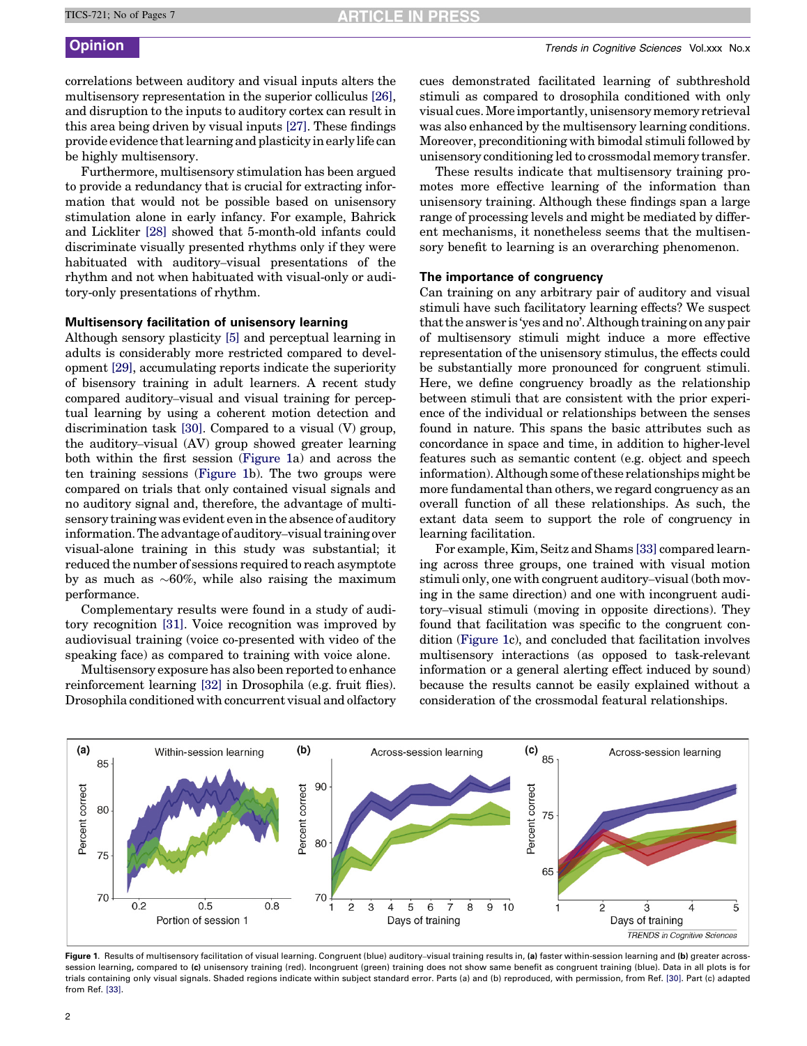correlations between auditory and visual inputs alters the multisensory representation in the superior colliculus [\[26\]](#page-5-0), and disruption to the inputs to auditory cortex can result in this area being driven by visual inputs [\[27\]](#page-5-0). These findings provide evidence that learning and plasticity in early life can be highly multisensory.

Furthermore, multisensory stimulation has been argued to provide a redundancy that is crucial for extracting information that would not be possible based on unisensory stimulation alone in early infancy. For example, Bahrick and Lickliter [\[28\]](#page-5-0) showed that 5-month-old infants could discriminate visually presented rhythms only if they were habituated with auditory–visual presentations of the rhythm and not when habituated with visual-only or auditory-only presentations of rhythm.

# Multisensory facilitation of unisensory learning

Although sensory plasticity [\[5\]](#page-5-0) and perceptual learning in adults is considerably more restricted compared to development [\[29\],](#page-5-0) accumulating reports indicate the superiority of bisensory training in adult learners. A recent study compared auditory–visual and visual training for perceptual learning by using a coherent motion detection and discrimination task [\[30\].](#page-5-0) Compared to a visual (V) group, the auditory–visual (AV) group showed greater learning both within the first session (Figure 1a) and across the ten training sessions (Figure 1b). The two groups were compared on trials that only contained visual signals and no auditory signal and, therefore, the advantage of multisensory training was evident even in the absence of auditory information. The advantage of auditory–visual training over visual-alone training in this study was substantial; it reduced the number of sessions required to reach asymptote by as much as  $\sim\!\!60\%,$  while also raising the maximum performance.

Complementary results were found in a study of auditory recognition [\[31\].](#page-5-0) Voice recognition was improved by audiovisual training (voice co-presented with video of the speaking face) as compared to training with voice alone.

Multisensory exposure has also been reported to enhance reinforcement learning [\[32\]](#page-5-0) in Drosophila (e.g. fruit flies). Drosophila conditioned with concurrent visual and olfactory cues demonstrated facilitated learning of subthreshold stimuli as compared to drosophila conditioned with only visual cues.More importantly, unisensory memory retrieval was also enhanced by the multisensory learning conditions. Moreover, preconditioning with bimodal stimuli followed by unisensory conditioning led to crossmodal memory transfer.

These results indicate that multisensory training promotes more effective learning of the information than unisensory training. Although these findings span a large range of processing levels and might be mediated by different mechanisms, it nonetheless seems that the multisensory benefit to learning is an overarching phenomenon.

# The importance of congruency

Can training on any arbitrary pair of auditory and visual stimuli have such facilitatory learning effects? We suspect that the answer is 'yes and no'. Although training on any pair of multisensory stimuli might induce a more effective representation of the unisensory stimulus, the effects could be substantially more pronounced for congruent stimuli. Here, we define congruency broadly as the relationship between stimuli that are consistent with the prior experience of the individual or relationships between the senses found in nature. This spans the basic attributes such as concordance in space and time, in addition to higher-level features such as semantic content (e.g. object and speech information). Although some of these relationships might be more fundamental than others, we regard congruency as an overall function of all these relationships. As such, the extant data seem to support the role of congruency in learning facilitation.

For example, Kim, Seitz and Shams [\[33\]](#page-5-0) compared learning across three groups, one trained with visual motion stimuli only, one with congruent auditory–visual (both moving in the same direction) and one with incongruent auditory–visual stimuli (moving in opposite directions). They found that facilitation was specific to the congruent condition (Figure 1c), and concluded that facilitation involves multisensory interactions (as opposed to task-relevant information or a general alerting effect induced by sound) because the results cannot be easily explained without a consideration of the crossmodal featural relationships.



Figure 1. Results of multisensory facilitation of visual learning. Congruent (blue) auditory–visual training results in, (a) faster within-session learning and (b) greater acrosssession learning, compared to (c) unisensory training (red). Incongruent (green) training does not show same benefit as congruent training (blue). Data in all plots is for trials containing only visual signals. Shaded regions indicate within subject standard error. Parts (a) and (b) reproduced, with permission, from Ref. [\[30\]](#page-5-0). Part (c) adapted from Ref. [\[33\].](#page-5-0)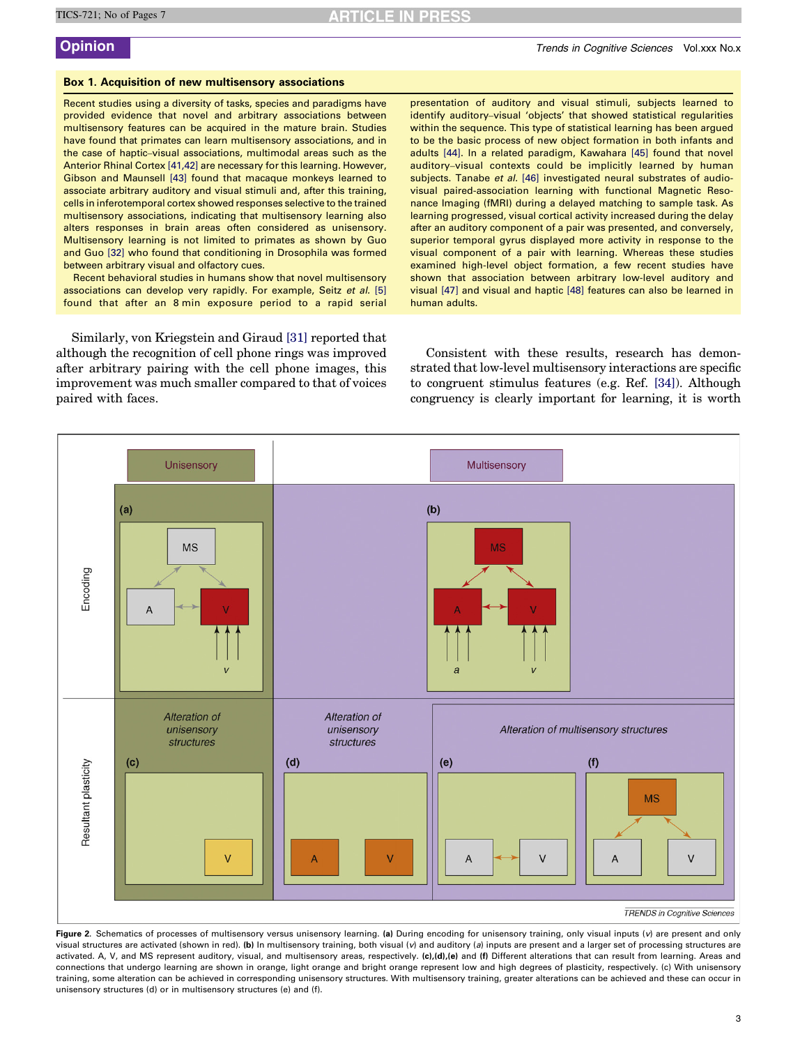# <span id="page-2-0"></span>Box 1. Acquisition of new multisensory associations

Recent studies using a diversity of tasks, species and paradigms have provided evidence that novel and arbitrary associations between multisensory features can be acquired in the mature brain. Studies have found that primates can learn multisensory associations, and in the case of haptic–visual associations, multimodal areas such as the Anterior Rhinal Cortex [\[41,42\]](#page-5-0) are necessary for this learning. However, Gibson and Maunsell [\[43\]](#page-5-0) found that macaque monkeys learned to associate arbitrary auditory and visual stimuli and, after this training, cells in inferotemporal cortex showed responses selective to the trained multisensory associations, indicating that multisensory learning also alters responses in brain areas often considered as unisensory. Multisensory learning is not limited to primates as shown by Guo and Guo [\[32\]](#page-5-0) who found that conditioning in Drosophila was formed between arbitrary visual and olfactory cues.

Recent behavioral studies in humans show that novel multisensory associations can develop very rapidly. For example, Seitz et al. [\[5\]](#page-5-0) found that after an 8 min exposure period to a rapid serial

Similarly, von Kriegstein and Giraud [\[31\]](#page-5-0) reported that although the recognition of cell phone rings was improved after arbitrary pairing with the cell phone images, this improvement was much smaller compared to that of voices paired with faces.

presentation of auditory and visual stimuli, subjects learned to identify auditory–visual 'objects' that showed statistical regularities within the sequence. This type of statistical learning has been argued to be the basic process of new object formation in both infants and adults [\[44\].](#page-5-0) In a related paradigm, Kawahara [\[45\]](#page-5-0) found that novel auditory–visual contexts could be implicitly learned by human subjects. Tanabe et al. [\[46\]](#page-5-0) investigated neural substrates of audiovisual paired-association learning with functional Magnetic Resonance Imaging (fMRI) during a delayed matching to sample task. As learning progressed, visual cortical activity increased during the delay after an auditory component of a pair was presented, and conversely, superior temporal gyrus displayed more activity in response to the visual component of a pair with learning. Whereas these studies examined high-level object formation, a few recent studies have shown that association between arbitrary low-level auditory and visual [\[47\]](#page-5-0) and visual and haptic [\[48\]](#page-5-0) features can also be learned in human adults.

Consistent with these results, research has demonstrated that low-level multisensory interactions are specific to congruent stimulus features (e.g. Ref. [\[34\]\)](#page-5-0). Although congruency is clearly important for learning, it is worth



Figure 2. Schematics of processes of multisensory versus unisensory learning. (a) During encoding for unisensory training, only visual inputs (v) are present and only visual structures are activated (shown in red). (b) In multisensory training, both visual (v) and auditory (a) inputs are present and a larger set of processing structures are activated. A, V, and MS represent auditory, visual, and multisensory areas, respectively. (c),(d),(e) and (f) Different alterations that can result from learning. Areas and connections that undergo learning are shown in orange, light orange and bright orange represent low and high degrees of plasticity, respectively. (c) With unisensory training, some alteration can be achieved in corresponding unisensory structures. With multisensory training, greater alterations can be achieved and these can occur in unisensory structures (d) or in multisensory structures (e) and (f).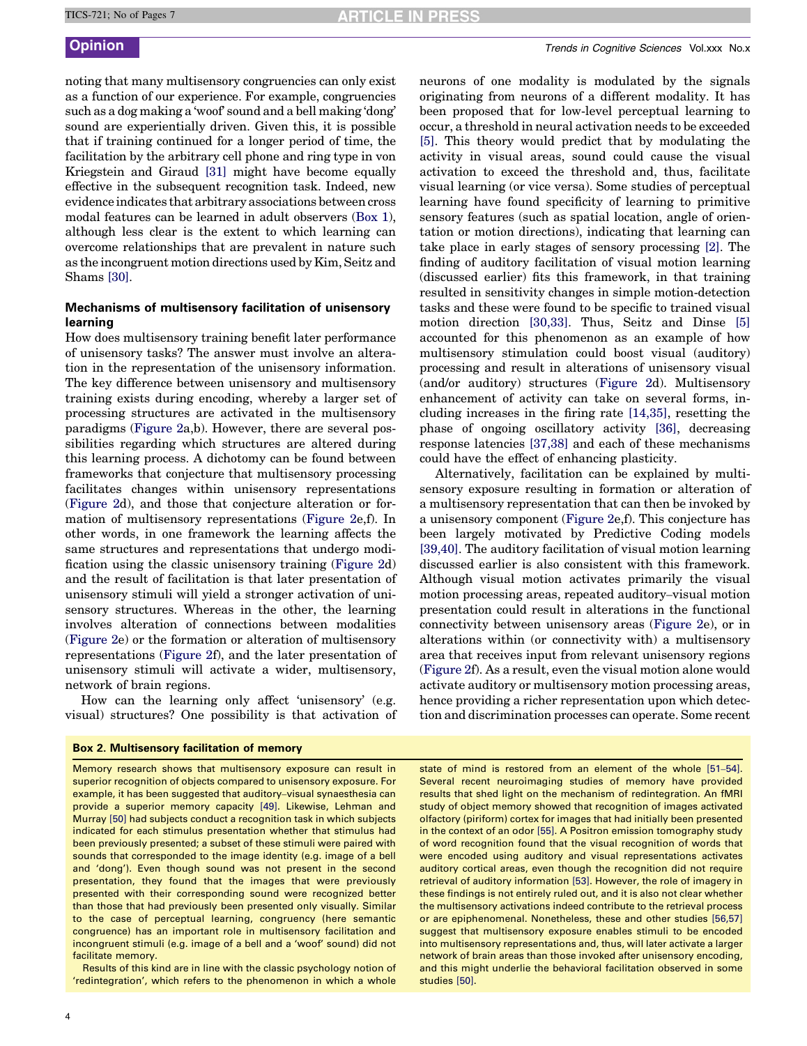<span id="page-3-0"></span>noting that many multisensory congruencies can only exist as a function of our experience. For example, congruencies such as a dog making a 'woof' sound and a bell making 'dong' sound are experientially driven. Given this, it is possible that if training continued for a longer period of time, the facilitation by the arbitrary cell phone and ring type in von Kriegstein and Giraud [\[31\]](#page-5-0) might have become equally effective in the subsequent recognition task. Indeed, new evidence indicates that arbitrary associations between cross modal features can be learned in adult observers [\(Box 1](#page-2-0)), although less clear is the extent to which learning can overcome relationships that are prevalent in nature such as the incongruent motion directions used by Kim, Seitz and Shams [\[30\]](#page-5-0).

# Mechanisms of multisensory facilitation of unisensory learning

How does multisensory training benefit later performance of unisensory tasks? The answer must involve an alteration in the representation of the unisensory information. The key difference between unisensory and multisensory training exists during encoding, whereby a larger set of processing structures are activated in the multisensory paradigms ([Figure 2](#page-2-0)a,b). However, there are several possibilities regarding which structures are altered during this learning process. A dichotomy can be found between frameworks that conjecture that multisensory processing facilitates changes within unisensory representations ([Figure 2d](#page-2-0)), and those that conjecture alteration or formation of multisensory representations ([Figure 2e](#page-2-0),f). In other words, in one framework the learning affects the same structures and representations that undergo modification using the classic unisensory training ([Figure 2](#page-2-0)d) and the result of facilitation is that later presentation of unisensory stimuli will yield a stronger activation of unisensory structures. Whereas in the other, the learning involves alteration of connections between modalities ([Figure 2e](#page-2-0)) or the formation or alteration of multisensory representations [\(Figure 2f](#page-2-0)), and the later presentation of unisensory stimuli will activate a wider, multisensory, network of brain regions.

How can the learning only affect 'unisensory' (e.g. visual) structures? One possibility is that activation of

# Box 2. Multisensory facilitation of memory

Memory research shows that multisensory exposure can result in superior recognition of objects compared to unisensory exposure. For example, it has been suggested that auditory–visual synaesthesia can provide a superior memory capacity [\[49\].](#page-5-0) Likewise, Lehman and Murray [\[50\]](#page-5-0) had subjects conduct a recognition task in which subjects indicated for each stimulus presentation whether that stimulus had been previously presented; a subset of these stimuli were paired with sounds that corresponded to the image identity (e.g. image of a bell and 'dong'). Even though sound was not present in the second presentation, they found that the images that were previously presented with their corresponding sound were recognized better than those that had previously been presented only visually. Similar to the case of perceptual learning, congruency (here semantic congruence) has an important role in multisensory facilitation and incongruent stimuli (e.g. image of a bell and a 'woof' sound) did not facilitate memory.

Results of this kind are in line with the classic psychology notion of 'redintegration', which refers to the phenomenon in which a whole

neurons of one modality is modulated by the signals originating from neurons of a different modality. It has been proposed that for low-level perceptual learning to occur, a threshold in neural activation needs to be exceeded [\[5\].](#page-5-0) This theory would predict that by modulating the activity in visual areas, sound could cause the visual activation to exceed the threshold and, thus, facilitate visual learning (or vice versa). Some studies of perceptual learning have found specificity of learning to primitive sensory features (such as spatial location, angle of orientation or motion directions), indicating that learning can take place in early stages of sensory processing [\[2\].](#page-5-0) The finding of auditory facilitation of visual motion learning (discussed earlier) fits this framework, in that training resulted in sensitivity changes in simple motion-detection tasks and these were found to be specific to trained visual motion direction [\[30,33\]](#page-5-0). Thus, Seitz and Dinse [\[5\]](#page-5-0) accounted for this phenomenon as an example of how multisensory stimulation could boost visual (auditory) processing and result in alterations of unisensory visual (and/or auditory) structures [\(Figure 2](#page-2-0)d). Multisensory enhancement of activity can take on several forms, including increases in the firing rate [\[14,35\],](#page-5-0) resetting the phase of ongoing oscillatory activity [\[36\],](#page-5-0) decreasing response latencies [\[37,38\]](#page-5-0) and each of these mechanisms could have the effect of enhancing plasticity.

Alternatively, facilitation can be explained by multisensory exposure resulting in formation or alteration of a multisensory representation that can then be invoked by a unisensory component ([Figure 2](#page-2-0)e,f). This conjecture has been largely motivated by Predictive Coding models [\[39,40\]](#page-5-0). The auditory facilitation of visual motion learning discussed earlier is also consistent with this framework. Although visual motion activates primarily the visual motion processing areas, repeated auditory–visual motion presentation could result in alterations in the functional connectivity between unisensory areas [\(Figure 2](#page-2-0)e), or in alterations within (or connectivity with) a multisensory area that receives input from relevant unisensory regions ([Figure 2f](#page-2-0)). As a result, even the visual motion alone would activate auditory or multisensory motion processing areas, hence providing a richer representation upon which detection and discrimination processes can operate. Some recent

state of mind is restored from an element of the whole [51–[54\].](#page-5-0) Several recent neuroimaging studies of memory have provided results that shed light on the mechanism of redintegration. An fMRI study of object memory showed that recognition of images activated olfactory (piriform) cortex for images that had initially been presented in the context of an odor [\[55\]](#page-5-0). A Positron emission tomography study of word recognition found that the visual recognition of words that were encoded using auditory and visual representations activates auditory cortical areas, even though the recognition did not require retrieval of auditory information [\[53\].](#page-5-0) However, the role of imagery in these findings is not entirely ruled out, and it is also not clear whether the multisensory activations indeed contribute to the retrieval process or are epiphenomenal. Nonetheless, these and other studies [\[56,57\]](#page-5-0) suggest that multisensory exposure enables stimuli to be encoded into multisensory representations and, thus, will later activate a larger network of brain areas than those invoked after unisensory encoding, and this might underlie the behavioral facilitation observed in some studies [\[50\].](#page-5-0)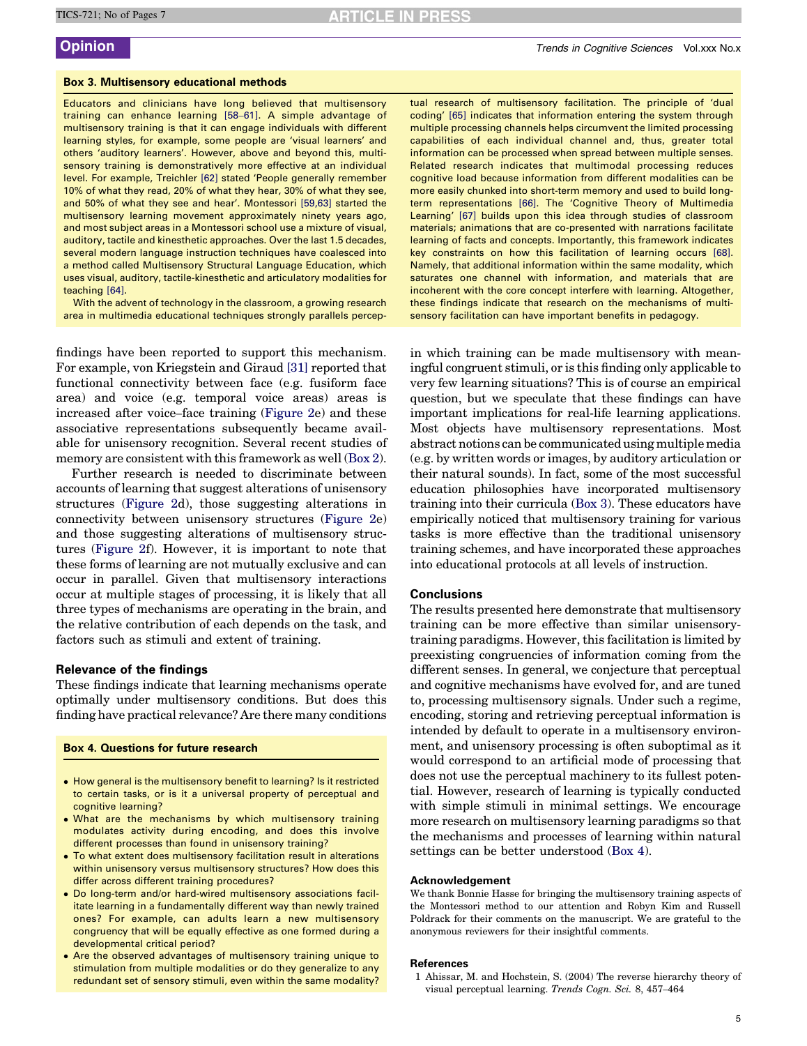# **RTICLE IN PRESS**

# <span id="page-4-0"></span>Box 3. Multisensory educational methods

Educators and clinicians have long believed that multisensory training can enhance learning [\[58](#page-5-0)–61]. A simple advantage of multisensory training is that it can engage individuals with different learning styles, for example, some people are 'visual learners' and others 'auditory learners'. However, above and beyond this, multisensory training is demonstratively more effective at an individual level. For example, Treichler [\[62\]](#page-5-0) stated 'People generally remember 10% of what they read, 20% of what they hear, 30% of what they see, and 50% of what they see and hear'. Montessori [\[59,63\]](#page-5-0) started the multisensory learning movement approximately ninety years ago, and most subject areas in a Montessori school use a mixture of visual, auditory, tactile and kinesthetic approaches. Over the last 1.5 decades, several modern language instruction techniques have coalesced into a method called Multisensory Structural Language Education, which uses visual, auditory, tactile-kinesthetic and articulatory modalities for teaching [\[64\]](#page-6-0).

With the advent of technology in the classroom, a growing research area in multimedia educational techniques strongly parallels percep-

findings have been reported to support this mechanism. For example, von Kriegstein and Giraud [\[31\]](#page-5-0) reported that functional connectivity between face (e.g. fusiform face area) and voice (e.g. temporal voice areas) areas is increased after voice–face training [\(Figure 2e](#page-2-0)) and these associative representations subsequently became available for unisensory recognition. Several recent studies of memory are consistent with this framework as well [\(Box 2\)](#page-3-0).

Further research is needed to discriminate between accounts of learning that suggest alterations of unisensory structures ([Figure 2](#page-2-0)d), those suggesting alterations in connectivity between unisensory structures ([Figure 2e](#page-2-0)) and those suggesting alterations of multisensory structures [\(Figure 2f](#page-2-0)). However, it is important to note that these forms of learning are not mutually exclusive and can occur in parallel. Given that multisensory interactions occur at multiple stages of processing, it is likely that all three types of mechanisms are operating in the brain, and the relative contribution of each depends on the task, and factors such as stimuli and extent of training.

# Relevance of the findings

These findings indicate that learning mechanisms operate optimally under multisensory conditions. But does this finding have practical relevance? Are there many conditions

### Box 4. Questions for future research

- How general is the multisensory benefit to learning? Is it restricted to certain tasks, or is it a universal property of perceptual and cognitive learning?
- What are the mechanisms by which multisensory training modulates activity during encoding, and does this involve different processes than found in unisensory training?
- To what extent does multisensory facilitation result in alterations within unisensory versus multisensory structures? How does this differ across different training procedures?
- Do long-term and/or hard-wired multisensory associations facilitate learning in a fundamentally different way than newly trained ones? For example, can adults learn a new multisensory congruency that will be equally effective as one formed during a developmental critical period?
- Are the observed advantages of multisensory training unique to stimulation from multiple modalities or do they generalize to any redundant set of sensory stimuli, even within the same modality?

tual research of multisensory facilitation. The principle of 'dual coding' [\[65\]](#page-6-0) indicates that information entering the system through multiple processing channels helps circumvent the limited processing capabilities of each individual channel and, thus, greater total information can be processed when spread between multiple senses. Related research indicates that multimodal processing reduces cognitive load because information from different modalities can be more easily chunked into short-term memory and used to build longterm representations [\[66\]](#page-6-0). The 'Cognitive Theory of Multimedia Learning' [\[67\]](#page-6-0) builds upon this idea through studies of classroom materials; animations that are co-presented with narrations facilitate learning of facts and concepts. Importantly, this framework indicates key constraints on how this facilitation of learning occurs [\[68\].](#page-6-0) Namely, that additional information within the same modality, which saturates one channel with information, and materials that are incoherent with the core concept interfere with learning. Altogether, these findings indicate that research on the mechanisms of multisensory facilitation can have important benefits in pedagogy.

in which training can be made multisensory with meaningful congruent stimuli, or is this finding only applicable to very few learning situations? This is of course an empirical question, but we speculate that these findings can have important implications for real-life learning applications. Most objects have multisensory representations. Most abstract notions can be communicated using multiple media (e.g. by written words or images, by auditory articulation or their natural sounds). In fact, some of the most successful education philosophies have incorporated multisensory training into their curricula (Box 3). These educators have empirically noticed that multisensory training for various tasks is more effective than the traditional unisensory training schemes, and have incorporated these approaches into educational protocols at all levels of instruction.

# **Conclusions**

The results presented here demonstrate that multisensory training can be more effective than similar unisensorytraining paradigms. However, this facilitation is limited by preexisting congruencies of information coming from the different senses. In general, we conjecture that perceptual and cognitive mechanisms have evolved for, and are tuned to, processing multisensory signals. Under such a regime, encoding, storing and retrieving perceptual information is intended by default to operate in a multisensory environment, and unisensory processing is often suboptimal as it would correspond to an artificial mode of processing that does not use the perceptual machinery to its fullest potential. However, research of learning is typically conducted with simple stimuli in minimal settings. We encourage more research on multisensory learning paradigms so that the mechanisms and processes of learning within natural settings can be better understood (Box 4).

### Acknowledgement

We thank Bonnie Hasse for bringing the multisensory training aspects of the Montessori method to our attention and Robyn Kim and Russell Poldrack for their comments on the manuscript. We are grateful to the anonymous reviewers for their insightful comments.

### References

1 Ahissar, M. and Hochstein, S. (2004) The reverse hierarchy theory of visual perceptual learning. Trends Cogn. Sci. 8, 457–464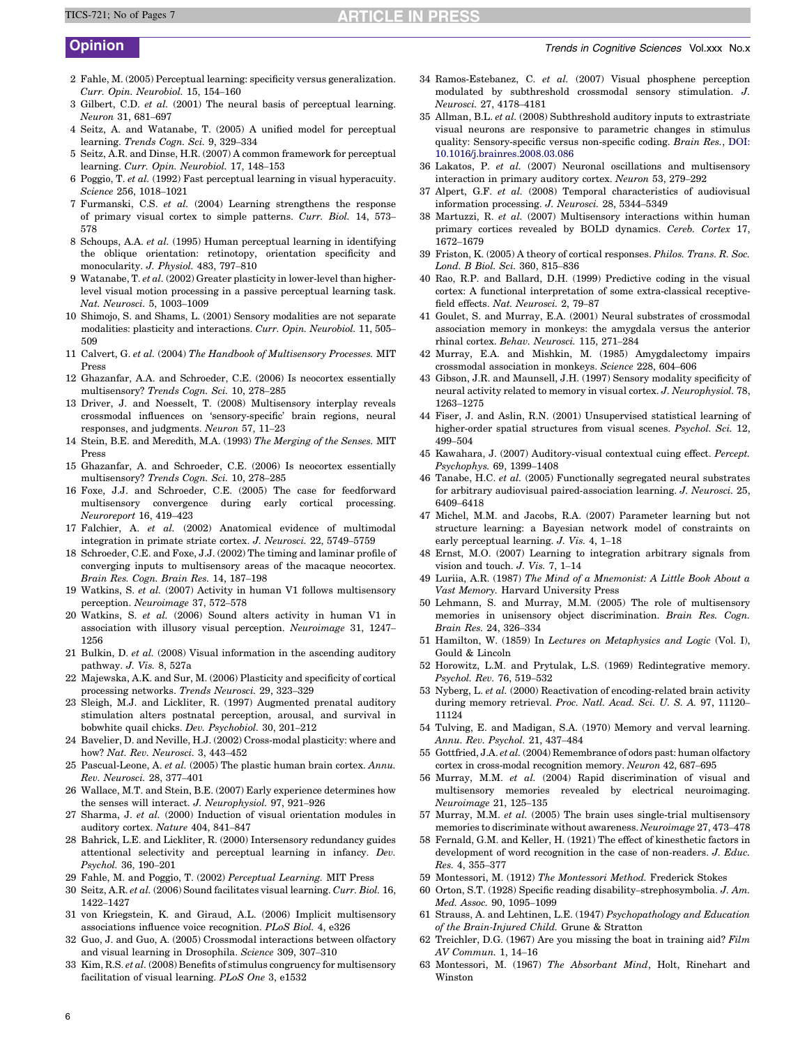# **ARTICLE IN PRESS**

- <span id="page-5-0"></span>2 Fahle, M. (2005) Perceptual learning: specificity versus generalization. Curr. Opin. Neurobiol. 15, 154–160
- 3 Gilbert, C.D. et al. (2001) The neural basis of perceptual learning. Neuron 31, 681–697
- 4 Seitz, A. and Watanabe, T. (2005) A unified model for perceptual learning. Trends Cogn. Sci. 9, 329–334
- 5 Seitz, A.R. and Dinse, H.R. (2007) A common framework for perceptual learning. Curr. Opin. Neurobiol. 17, 148–153
- 6 Poggio, T. et al. (1992) Fast perceptual learning in visual hyperacuity. Science 256, 1018–1021
- 7 Furmanski, C.S. et al. (2004) Learning strengthens the response of primary visual cortex to simple patterns. Curr. Biol. 14, 573– 578
- 8 Schoups, A.A. et al. (1995) Human perceptual learning in identifying the oblique orientation: retinotopy, orientation specificity and monocularity. J. Physiol. 483, 797–810
- 9 Watanabe, T. et al. (2002) Greater plasticity in lower-level than higherlevel visual motion processing in a passive perceptual learning task. Nat. Neurosci. 5, 1003–1009
- 10 Shimojo, S. and Shams, L. (2001) Sensory modalities are not separate modalities: plasticity and interactions. Curr. Opin. Neurobiol. 11, 505– 509
- 11 Calvert, G. et al. (2004) The Handbook of Multisensory Processes. MIT Press
- 12 Ghazanfar, A.A. and Schroeder, C.E. (2006) Is neocortex essentially multisensory? Trends Cogn. Sci. 10, 278–285
- 13 Driver, J. and Noesselt, T. (2008) Multisensory interplay reveals crossmodal influences on 'sensory-specific' brain regions, neural responses, and judgments. Neuron 57, 11–23
- 14 Stein, B.E. and Meredith, M.A. (1993) The Merging of the Senses. MIT Press
- 15 Ghazanfar, A. and Schroeder, C.E. (2006) Is neocortex essentially multisensory? Trends Cogn. Sci. 10, 278–285
- 16 Foxe, J.J. and Schroeder, C.E. (2005) The case for feedforward multisensory convergence during early cortical processing. Neuroreport 16, 419–423
- 17 Falchier, A. et al. (2002) Anatomical evidence of multimodal integration in primate striate cortex. J. Neurosci. 22, 5749–5759
- 18 Schroeder, C.E. and Foxe, J.J. (2002) The timing and laminar profile of converging inputs to multisensory areas of the macaque neocortex. Brain Res. Cogn. Brain Res. 14, 187–198
- 19 Watkins, S. et al. (2007) Activity in human V1 follows multisensory perception. Neuroimage 37, 572–578
- 20 Watkins, S. et al. (2006) Sound alters activity in human V1 in association with illusory visual perception. Neuroimage 31, 1247– 1256
- 21 Bulkin, D. et al. (2008) Visual information in the ascending auditory pathway. J. Vis. 8, 527a
- 22 Majewska, A.K. and Sur, M. (2006) Plasticity and specificity of cortical processing networks. Trends Neurosci. 29, 323–329
- 23 Sleigh, M.J. and Lickliter, R. (1997) Augmented prenatal auditory stimulation alters postnatal perception, arousal, and survival in bobwhite quail chicks. Dev. Psychobiol. 30, 201–212
- 24 Bavelier, D. and Neville, H.J. (2002) Cross-modal plasticity: where and how? Nat. Rev. Neurosci. 3, 443–452
- 25 Pascual-Leone, A. et al. (2005) The plastic human brain cortex. Annu. Rev. Neurosci. 28, 377–401
- 26 Wallace, M.T. and Stein, B.E. (2007) Early experience determines how the senses will interact. J. Neurophysiol. 97, 921–926
- 27 Sharma, J. et al. (2000) Induction of visual orientation modules in auditory cortex. Nature 404, 841–847
- 28 Bahrick, L.E. and Lickliter, R. (2000) Intersensory redundancy guides attentional selectivity and perceptual learning in infancy. Dev. Psychol. 36, 190–201
- 29 Fahle, M. and Poggio, T. (2002) Perceptual Learning. MIT Press
- 30 Seitz, A.R. et al. (2006) Sound facilitates visual learning. Curr. Biol. 16, 1422–1427
- 31 von Kriegstein, K. and Giraud, A.L. (2006) Implicit multisensory associations influence voice recognition. PLoS Biol. 4, e326
- 32 Guo, J. and Guo, A. (2005) Crossmodal interactions between olfactory and visual learning in Drosophila. Science 309, 307–310
- 33 Kim, R.S. et al. (2008) Benefits of stimulus congruency for multisensory facilitation of visual learning. PLoS One 3, e1532
- 34 Ramos-Estebanez, C. et al. (2007) Visual phosphene perception modulated by subthreshold crossmodal sensory stimulation. J. Neurosci. 27, 4178–4181
- 35 Allman, B.L. et al. (2008) Subthreshold auditory inputs to extrastriate visual neurons are responsive to parametric changes in stimulus quality: Sensory-specific versus non-specific coding. Brain Res., [DOI:](http://dx.doi.org/10.1016/j.brainres.2008.03.086) [10.1016/j.brainres.2008.03.086](http://dx.doi.org/10.1016/j.brainres.2008.03.086)
- 36 Lakatos, P. et al. (2007) Neuronal oscillations and multisensory interaction in primary auditory cortex. Neuron 53, 279–292
- 37 Alpert, G.F. et al. (2008) Temporal characteristics of audiovisual information processing. J. Neurosci. 28, 5344–5349
- 38 Martuzzi, R. et al. (2007) Multisensory interactions within human primary cortices revealed by BOLD dynamics. Cereb. Cortex 17, 1672–1679
- 39 Friston, K. (2005) A theory of cortical responses. Philos. Trans. R. Soc. Lond. B Biol. Sci. 360, 815–836
- 40 Rao, R.P. and Ballard, D.H. (1999) Predictive coding in the visual cortex: A functional interpretation of some extra-classical receptivefield effects. Nat. Neurosci. 2, 79–87
- 41 Goulet, S. and Murray, E.A. (2001) Neural substrates of crossmodal association memory in monkeys: the amygdala versus the anterior rhinal cortex. Behav. Neurosci. 115, 271–284
- 42 Murray, E.A. and Mishkin, M. (1985) Amygdalectomy impairs crossmodal association in monkeys. Science 228, 604–606
- 43 Gibson, J.R. and Maunsell, J.H. (1997) Sensory modality specificity of neural activity related to memory in visual cortex. J. Neurophysiol. 78, 1263–1275
- 44 Fiser, J. and Aslin, R.N. (2001) Unsupervised statistical learning of higher-order spatial structures from visual scenes. Psychol. Sci. 12, 499–504
- 45 Kawahara, J. (2007) Auditory-visual contextual cuing effect. Percept. Psychophys. 69, 1399–1408
- 46 Tanabe, H.C. et al. (2005) Functionally segregated neural substrates for arbitrary audiovisual paired-association learning. J. Neurosci. 25, 6409–6418
- 47 Michel, M.M. and Jacobs, R.A. (2007) Parameter learning but not structure learning: a Bayesian network model of constraints on early perceptual learning. J. Vis. 4, 1–18
- 48 Ernst, M.O. (2007) Learning to integration arbitrary signals from vision and touch. J. Vis. 7, 1–14
- 49 Luriia, A.R. (1987) The Mind of a Mnemonist: A Little Book About a Vast Memory. Harvard University Press
- 50 Lehmann, S. and Murray, M.M. (2005) The role of multisensory memories in unisensory object discrimination. Brain Res. Cogn. Brain Res. 24, 326–334
- 51 Hamilton, W. (1859) In Lectures on Metaphysics and Logic (Vol. I), Gould & Lincoln
- 52 Horowitz, L.M. and Prytulak, L.S. (1969) Redintegrative memory. Psychol. Rev. 76, 519–532
- 53 Nyberg, L. et al. (2000) Reactivation of encoding-related brain activity during memory retrieval. Proc. Natl. Acad. Sci. U. S. A. 97, 11120– 11124
- 54 Tulving, E. and Madigan, S.A. (1970) Memory and verval learning. Annu. Rev. Psychol. 21, 437–484
- 55 Gottfried, J.A. et al. (2004) Remembrance of odors past: human olfactory cortex in cross-modal recognition memory. Neuron 42, 687–695
- 56 Murray, M.M. et al. (2004) Rapid discrimination of visual and multisensory memories revealed by electrical neuroimaging. Neuroimage 21, 125–135
- 57 Murray, M.M. et al. (2005) The brain uses single-trial multisensory memories to discriminate without awareness. Neuroimage 27, 473–478
- 58 Fernald, G.M. and Keller, H. (1921) The effect of kinesthetic factors in development of word recognition in the case of non-readers. J. Educ. Res. 4, 355–377
- 59 Montessori, M. (1912) The Montessori Method. Frederick Stokes
- 60 Orton, S.T. (1928) Specific reading disability–strephosymbolia. J. Am. Med. Assoc. 90, 1095–1099
- 61 Strauss, A. and Lehtinen, L.E. (1947) Psychopathology and Education of the Brain-Injured Child. Grune & Stratton
- 62 Treichler, D.G. (1967) Are you missing the boat in training aid? Film AV Commun. 1, 14–16
- 63 Montessori, M. (1967) The Absorbant Mind, Holt, Rinehart and Winston